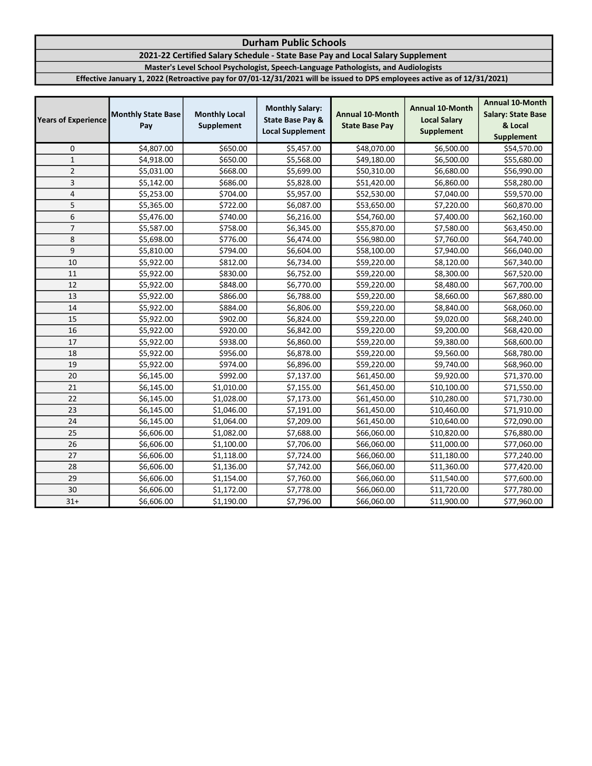## Durham Public Schools

2021-22 Certified Salary Schedule - State Base Pay and Local Salary Supplement

Master's Level School Psychologist, Speech-Language Pathologists, and Audiologists

Effective January 1, 2022 (Retroactive pay for 07/01-12/31/2021 will be issued to DPS employees active as of 12/31/2021)

| <b>Years of Experience</b> | <b>Monthly State Base</b><br>Pay | <b>Monthly Local</b><br>Supplement | <b>Monthly Salary:</b><br><b>State Base Pay &amp;</b><br><b>Local Supplement</b> | Annual 10-Month<br><b>State Base Pay</b> | <b>Annual 10-Month</b><br><b>Local Salary</b><br><b>Supplement</b> | <b>Annual 10-Month</b><br><b>Salary: State Base</b><br>& Local<br><b>Supplement</b> |
|----------------------------|----------------------------------|------------------------------------|----------------------------------------------------------------------------------|------------------------------------------|--------------------------------------------------------------------|-------------------------------------------------------------------------------------|
| 0                          | \$4,807.00                       | \$650.00                           | \$5,457.00                                                                       | \$48,070.00                              | \$6,500.00                                                         | \$54,570.00                                                                         |
| $\mathbf{1}$               | \$4,918.00                       | \$650.00                           | \$5,568.00                                                                       | \$49,180.00                              | \$6,500.00                                                         | \$55,680.00                                                                         |
| $\overline{2}$             | \$5,031.00                       | \$668.00                           | \$5,699.00                                                                       | \$50,310.00                              | \$6,680.00                                                         | \$56,990.00                                                                         |
| 3                          | \$5,142.00                       | \$686.00                           | \$5,828.00                                                                       | \$51,420.00                              | \$6,860.00                                                         | \$58,280.00                                                                         |
| 4                          | \$5,253.00                       | \$704.00                           | \$5,957.00                                                                       | \$52,530.00                              | \$7,040.00                                                         | \$59,570.00                                                                         |
| 5                          | \$5,365.00                       | \$722.00                           | \$6,087.00                                                                       | \$53,650.00                              | \$7,220.00                                                         | \$60,870.00                                                                         |
| 6                          | \$5,476.00                       | \$740.00                           | \$6,216.00                                                                       | \$54,760.00                              | \$7,400.00                                                         | \$62,160.00                                                                         |
| $\overline{7}$             | \$5,587.00                       | \$758.00                           | \$6,345.00                                                                       | \$55,870.00                              | \$7,580.00                                                         | \$63,450.00                                                                         |
| 8                          | \$5,698.00                       | \$776.00                           | \$6,474.00                                                                       | \$56,980.00                              | \$7,760.00                                                         | \$64,740.00                                                                         |
| 9                          | \$5,810.00                       | \$794.00                           | \$6,604.00                                                                       | \$58,100.00                              | \$7,940.00                                                         | \$66,040.00                                                                         |
| 10                         | \$5,922.00                       | \$812.00                           | \$6,734.00                                                                       | \$59,220.00                              | \$8,120.00                                                         | \$67,340.00                                                                         |
| 11                         | \$5,922.00                       | \$830.00                           | \$6,752.00                                                                       | \$59,220.00                              | \$8,300.00                                                         | \$67,520.00                                                                         |
| 12                         | \$5,922.00                       | \$848.00                           | \$6,770.00                                                                       | \$59,220.00                              | \$8,480.00                                                         | \$67,700.00                                                                         |
| 13                         | \$5,922.00                       | \$866.00                           | \$6,788.00                                                                       | \$59,220.00                              | \$8,660.00                                                         | \$67,880.00                                                                         |
| 14                         | \$5,922.00                       | \$884.00                           | \$6,806.00                                                                       | \$59,220.00                              | \$8,840.00                                                         | \$68,060.00                                                                         |
| 15                         | \$5,922.00                       | \$902.00                           | \$6,824.00                                                                       | \$59,220.00                              | \$9,020.00                                                         | \$68,240.00                                                                         |
| 16                         | \$5,922.00                       | \$920.00                           | \$6,842.00                                                                       | \$59,220.00                              | \$9,200.00                                                         | \$68,420.00                                                                         |
| 17                         | \$5,922.00                       | \$938.00                           | \$6,860.00                                                                       | \$59,220.00                              | \$9,380.00                                                         | \$68,600.00                                                                         |
| 18                         | \$5,922.00                       | \$956.00                           | \$6,878.00                                                                       | \$59,220.00                              | \$9,560.00                                                         | \$68,780.00                                                                         |
| 19                         | \$5,922.00                       | \$974.00                           | \$6,896.00                                                                       | \$59,220.00                              | \$9,740.00                                                         | \$68,960.00                                                                         |
| 20                         | \$6,145.00                       | \$992.00                           | \$7,137.00                                                                       | \$61,450.00                              | \$9,920.00                                                         | \$71,370.00                                                                         |
| 21                         | \$6,145.00                       | \$1,010.00                         | \$7,155.00                                                                       | \$61,450.00                              | \$10,100.00                                                        | \$71,550.00                                                                         |
| 22                         | \$6,145.00                       | \$1,028.00                         | \$7,173.00                                                                       | \$61,450.00                              | \$10,280.00                                                        | \$71,730.00                                                                         |
| 23                         | \$6,145.00                       | \$1,046.00                         | \$7,191.00                                                                       | \$61,450.00                              | \$10,460.00                                                        | \$71,910.00                                                                         |
| 24                         | \$6,145.00                       | \$1,064.00                         | \$7,209.00                                                                       | \$61,450.00                              | \$10,640.00                                                        | \$72,090.00                                                                         |
| 25                         | \$6,606.00                       | \$1,082.00                         | \$7,688.00                                                                       | \$66,060.00                              | \$10,820.00                                                        | \$76,880.00                                                                         |
| 26                         | \$6,606.00                       | \$1,100.00                         | \$7,706.00                                                                       | \$66,060.00                              | \$11,000.00                                                        | \$77,060.00                                                                         |
| 27                         | \$6,606.00                       | \$1,118.00                         | \$7,724.00                                                                       | \$66,060.00                              | \$11,180.00                                                        | \$77,240.00                                                                         |
| 28                         | \$6,606.00                       | \$1,136.00                         | \$7,742.00                                                                       | \$66,060.00                              | \$11,360.00                                                        | \$77,420.00                                                                         |
| 29                         | \$6,606.00                       | \$1,154.00                         | \$7,760.00                                                                       | \$66,060.00                              | \$11,540.00                                                        | \$77,600.00                                                                         |
| 30                         | \$6,606.00                       | \$1,172.00                         | \$7,778.00                                                                       | \$66,060.00                              | \$11,720.00                                                        | \$77,780.00                                                                         |
| $31+$                      | \$6,606.00                       | \$1,190.00                         | \$7,796.00                                                                       | \$66,060.00                              | \$11,900.00                                                        | \$77,960.00                                                                         |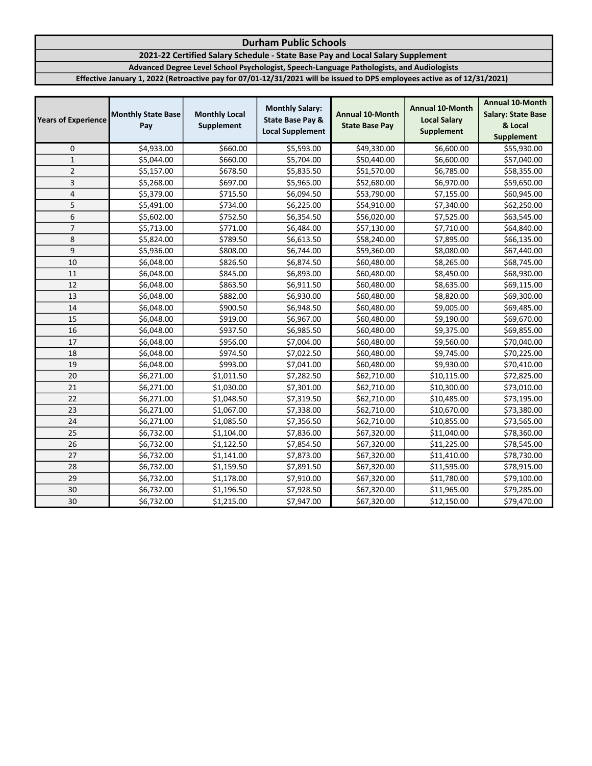## Durham Public Schools

2021-22 Certified Salary Schedule - State Base Pay and Local Salary Supplement

Advanced Degree Level School Psychologist, Speech-Language Pathologists, and Audiologists

Effective January 1, 2022 (Retroactive pay for 07/01-12/31/2021 will be issued to DPS employees active as of 12/31/2021)

| <b>Years of Experience</b> | <b>Monthly State Base</b><br>Pay | <b>Monthly Local</b><br>Supplement | <b>Monthly Salary:</b><br><b>State Base Pay &amp;</b><br><b>Local Supplement</b> | Annual 10-Month<br><b>State Base Pay</b> | <b>Annual 10-Month</b><br><b>Local Salary</b><br><b>Supplement</b> | <b>Annual 10-Month</b><br><b>Salary: State Base</b><br>& Local<br>Supplement |
|----------------------------|----------------------------------|------------------------------------|----------------------------------------------------------------------------------|------------------------------------------|--------------------------------------------------------------------|------------------------------------------------------------------------------|
| 0                          | \$4,933.00                       | \$660.00                           | \$5,593.00                                                                       | \$49,330.00                              | \$6,600.00                                                         | \$55,930.00                                                                  |
| $\mathbf{1}$               | \$5,044.00                       | \$660.00                           | \$5,704.00                                                                       | \$50,440.00                              | \$6,600.00                                                         | \$57,040.00                                                                  |
| $\overline{2}$             | \$5,157.00                       | \$678.50                           | \$5,835.50                                                                       | \$51,570.00                              | \$6,785.00                                                         | \$58,355.00                                                                  |
| $\overline{3}$             | \$5,268.00                       | \$697.00                           | \$5,965.00                                                                       | \$52,680.00                              | \$6,970.00                                                         | \$59,650.00                                                                  |
| 4                          | \$5,379.00                       | \$715.50                           | \$6,094.50                                                                       | \$53,790.00                              | \$7,155.00                                                         | \$60,945.00                                                                  |
| 5                          | \$5,491.00                       | \$734.00                           | \$6,225.00                                                                       | \$54,910.00                              | \$7,340.00                                                         | \$62,250.00                                                                  |
| 6                          | \$5,602.00                       | \$752.50                           | \$6,354.50                                                                       | \$56,020.00                              | \$7,525.00                                                         | \$63,545.00                                                                  |
| $\overline{\phantom{a}}$   | \$5,713.00                       | \$771.00                           | \$6,484.00                                                                       | \$57,130.00                              | \$7,710.00                                                         | \$64,840.00                                                                  |
| 8                          | \$5,824.00                       | \$789.50                           | \$6,613.50                                                                       | \$58,240.00                              | \$7,895.00                                                         | \$66,135.00                                                                  |
| 9                          | \$5,936.00                       | \$808.00                           | \$6,744.00                                                                       | \$59,360.00                              | \$8,080.00                                                         | \$67,440.00                                                                  |
| 10                         | \$6,048.00                       | \$826.50                           | \$6,874.50                                                                       | \$60,480.00                              | \$8,265.00                                                         | \$68,745.00                                                                  |
| 11                         | \$6,048.00                       | \$845.00                           | \$6,893.00                                                                       | \$60,480.00                              | \$8,450.00                                                         | \$68,930.00                                                                  |
| 12                         | \$6,048.00                       | \$863.50                           | \$6,911.50                                                                       | \$60,480.00                              | \$8,635.00                                                         | \$69,115.00                                                                  |
| 13                         | \$6,048.00                       | \$882.00                           | \$6,930.00                                                                       | \$60,480.00                              | \$8,820.00                                                         | \$69,300.00                                                                  |
| 14                         | \$6,048.00                       | \$900.50                           | \$6,948.50                                                                       | \$60,480.00                              | \$9,005.00                                                         | \$69,485.00                                                                  |
| 15                         | \$6,048.00                       | \$919.00                           | \$6,967.00                                                                       | \$60,480.00                              | \$9,190.00                                                         | \$69,670.00                                                                  |
| 16                         | \$6,048.00                       | \$937.50                           | \$6,985.50                                                                       | \$60,480.00                              | \$9,375.00                                                         | \$69,855.00                                                                  |
| 17                         | \$6,048.00                       | \$956.00                           | \$7,004.00                                                                       | \$60,480.00                              | \$9,560.00                                                         | \$70,040.00                                                                  |
| 18                         | \$6,048.00                       | \$974.50                           | \$7,022.50                                                                       | \$60,480.00                              | \$9,745.00                                                         | \$70,225.00                                                                  |
| 19                         | \$6,048.00                       | \$993.00                           | \$7,041.00                                                                       | \$60,480.00                              | \$9,930.00                                                         | \$70,410.00                                                                  |
| 20                         | \$6,271.00                       | \$1,011.50                         | \$7,282.50                                                                       | \$62,710.00                              | \$10,115.00                                                        | \$72,825.00                                                                  |
| 21                         | \$6,271.00                       | \$1,030.00                         | \$7,301.00                                                                       | \$62,710.00                              | \$10,300.00                                                        | \$73,010.00                                                                  |
| 22                         | \$6,271.00                       | \$1,048.50                         | \$7,319.50                                                                       | \$62,710.00                              | \$10,485.00                                                        | \$73,195.00                                                                  |
| 23                         | \$6,271.00                       | \$1,067.00                         | \$7,338.00                                                                       | \$62,710.00                              | \$10,670.00                                                        | \$73,380.00                                                                  |
| 24                         | \$6,271.00                       | \$1,085.50                         | \$7,356.50                                                                       | \$62,710.00                              | \$10,855.00                                                        | \$73,565.00                                                                  |
| 25                         | \$6,732.00                       | \$1,104.00                         | \$7,836.00                                                                       | \$67,320.00                              | \$11,040.00                                                        | \$78,360.00                                                                  |
| 26                         | \$6,732.00                       | \$1,122.50                         | \$7,854.50                                                                       | \$67,320.00                              | \$11,225.00                                                        | \$78,545.00                                                                  |
| 27                         | \$6,732.00                       | \$1,141.00                         | \$7,873.00                                                                       | \$67,320.00                              | \$11,410.00                                                        | \$78,730.00                                                                  |
| 28                         | \$6,732.00                       | \$1,159.50                         | \$7,891.50                                                                       | \$67,320.00                              | \$11,595.00                                                        | \$78,915.00                                                                  |
| 29                         | \$6,732.00                       | \$1,178.00                         | \$7,910.00                                                                       | \$67,320.00                              | \$11,780.00                                                        | \$79,100.00                                                                  |
| 30                         | \$6,732.00                       | \$1,196.50                         | \$7,928.50                                                                       | \$67,320.00                              | \$11,965.00                                                        | \$79,285.00                                                                  |
| 30                         | \$6,732.00                       | \$1,215.00                         | \$7,947.00                                                                       | \$67,320.00                              | \$12,150.00                                                        | \$79,470.00                                                                  |